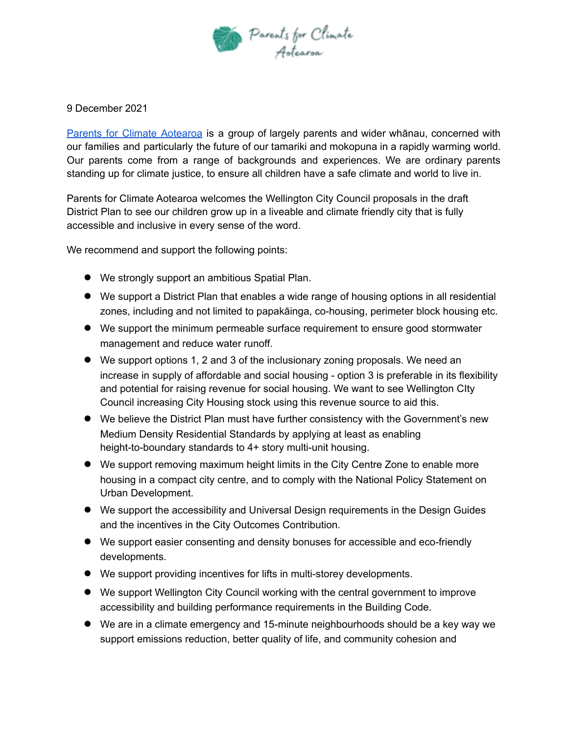

## 9 December 2021

Parents for Climate [Aotearoa](https://www.parentsforclimatenz.org/) is a group of largely parents and wider whānau, concerned with our families and particularly the future of our tamariki and mokopuna in a rapidly warming world. Our parents come from a range of backgrounds and experiences. We are ordinary parents standing up for climate justice, to ensure all children have a safe climate and world to live in.

Parents for Climate Aotearoa welcomes the Wellington City Council proposals in the draft District Plan to see our children grow up in a liveable and climate friendly city that is fully accessible and inclusive in every sense of the word.

We recommend and support the following points:

- We strongly support an ambitious Spatial Plan.
- We support a District Plan that enables a wide range of housing options in all residential zones, including and not limited to papakāinga, co-housing, perimeter block housing etc.
- We support the minimum permeable surface requirement to ensure good stormwater management and reduce water runoff.
- We support options 1, 2 and 3 of the inclusionary zoning proposals. We need an increase in supply of affordable and social housing - option 3 is preferable in its flexibility and potential for raising revenue for social housing. We want to see Wellington CIty Council increasing City Housing stock using this revenue source to aid this.
- We believe the District Plan must have further consistency with the Government's new Medium Density Residential Standards by applying at least as enabling height-to-boundary standards to 4+ story multi-unit housing.
- We support removing maximum height limits in the City Centre Zone to enable more housing in a compact city centre, and to comply with the National Policy Statement on Urban Development.
- We support the accessibility and Universal Design requirements in the Design Guides and the incentives in the City Outcomes Contribution.
- We support easier consenting and density bonuses for accessible and eco-friendly developments.
- We support providing incentives for lifts in multi-storey developments.
- We support Wellington City Council working with the central government to improve accessibility and building performance requirements in the Building Code.
- We are in a climate emergency and 15-minute neighbourhoods should be a key way we support emissions reduction, better quality of life, and community cohesion and